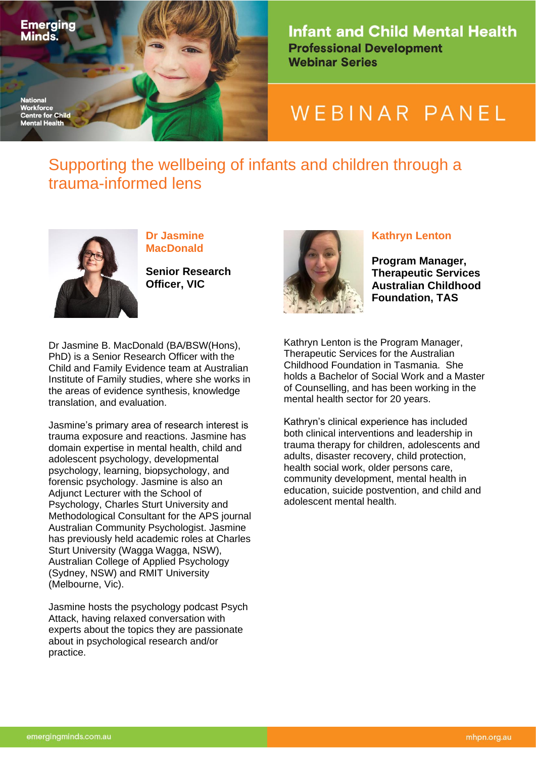

**Infant and Child Mental Health Professional Development Webinar Series** 

# WEBINAR PANEL

## Supporting the wellbeing of infants and children through a trauma-informed lens



**Dr Jasmine MacDonald**

**Senior Research Officer, VIC**

Dr Jasmine B. MacDonald (BA/BSW(Hons), PhD) is a Senior Research Officer with the Child and Family Evidence team at Australian Institute of Family studies, where she works in the areas of evidence synthesis, knowledge translation, and evaluation.

Jasmine's primary area of research interest is trauma exposure and reactions. Jasmine has domain expertise in mental health, child and adolescent psychology, developmental psychology, learning, biopsychology, and forensic psychology. Jasmine is also an Adjunct Lecturer with the School of Psychology, Charles Sturt University and Methodological Consultant for the APS journal Australian Community Psychologist. Jasmine has previously held academic roles at Charles Sturt University (Wagga Wagga, NSW), Australian College of Applied Psychology (Sydney, NSW) and RMIT University (Melbourne, Vic).

Jasmine hosts the psychology podcast Psych Attack, having relaxed conversation with experts about the topics they are passionate about in psychological research and/or practice.



#### **Kathryn Lenton**

**Program Manager, Therapeutic Services Australian Childhood Foundation, TAS**

Kathryn Lenton is the Program Manager, Therapeutic Services for the Australian Childhood Foundation in Tasmania. She holds a Bachelor of Social Work and a Master of Counselling, and has been working in the mental health sector for 20 years.

Kathryn's clinical experience has included both clinical interventions and leadership in trauma therapy for children, adolescents and adults, disaster recovery, child protection, health social work, older persons care, community development, mental health in education, suicide postvention, and child and adolescent mental health.